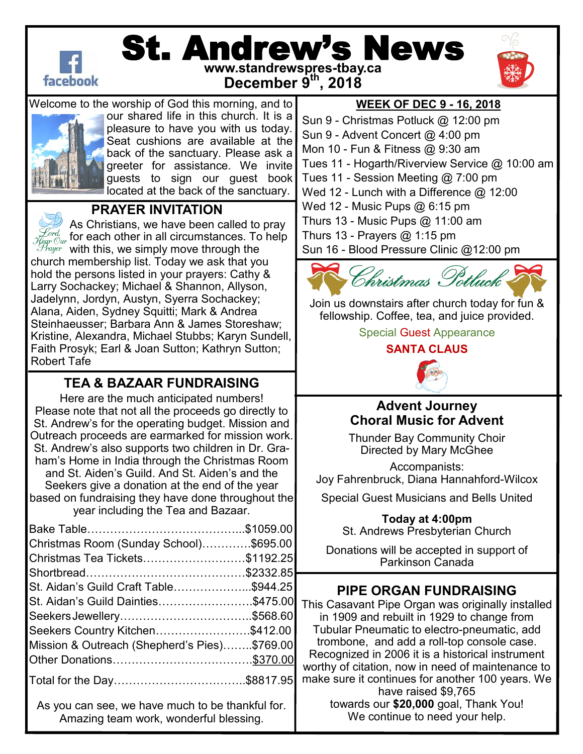

# St. Andrew's News **www.standrewspres-tbay.ca**

**December 9th, 2018**



Welcome to the worship of God this morning, and to



our shared life in this church. It is a pleasure to have you with us today. Seat cushions are available at the back of the sanctuary. Please ask a greeter for assistance. We invite guests to sign our guest book located at the back of the sanctuary.

## **PRAYER INVITATION**

As Christians, we have been called to pray for each other in all circumstances. To help with this, we simply move through the church membership list. Today we ask that you hold the persons listed in your prayers: Cathy & Larry Sochackey; Michael & Shannon, Allyson, Jadelynn, Jordyn, Austyn, Syerra Sochackey; Alana, Aiden, Sydney Squitti; Mark & Andrea Steinhaeusser; Barbara Ann & James Storeshaw; Kristine, Alexandra, Michael Stubbs; Karyn Sundell, Faith Prosyk; Earl & Joan Sutton; Kathryn Sutton; Robert Tafe

## **TEA & BAZAAR FUNDRAISING**

Here are the much anticipated numbers! Please note that not all the proceeds go directly to St. Andrew's for the operating budget. Mission and Outreach proceeds are earmarked for mission work. St. Andrew's also supports two children in Dr. Graham's Home in India through the Christmas Room and St. Aiden's Guild. And St. Aiden's and the Seekers give a donation at the end of the year based on fundraising they have done throughout the year including the Tea and Bazaar.

| Christmas Room (Sunday School)\$695.00       |  |
|----------------------------------------------|--|
| Christmas Tea Tickets\$1192.25               |  |
|                                              |  |
| St. Aidan's Guild Craft Table\$944.25        |  |
| St. Aidan's Guild Dainties\$475.00           |  |
|                                              |  |
| Seekers Country Kitchen\$412.00              |  |
| Mission & Outreach (Shepherd's Pies)\$769.00 |  |
|                                              |  |
| Total for the Day………………………………\$8817.95       |  |

As you can see, we have much to be thankful for. Amazing team work, wonderful blessing.

#### **WEEK OF DEC 9 - 16, 2018**

Sun 9 - Christmas Potluck @ 12:00 pm Sun 9 - Advent Concert @ 4:00 pm Mon 10 - Fun & Fitness @ 9:30 am Tues 11 - Hogarth/Riverview Service @ 10:00 am Tues 11 - Session Meeting @ 7:00 pm Wed 12 - Lunch with a Difference @ 12:00 Wed 12 - Music Pups @ 6:15 pm Thurs 13 - Music Pups @ 11:00 am Thurs 13 - Prayers  $@$  1:15 pm Sun 16 - Blood Pressure Clinic @12:00 pm



[Join us downstairs after church today for fun &](https://www.google.ca/url?sa=i&rct=j&q=&esrc=s&source=images&cd=&cad=rja&uact=8&ved=2ahUKEwjs1oa8tePeAhXBSt8KHRAWA1IQjRx6BAgBEAU&url=https%3A%2F%2Frecreation.ubc.ca%2F2015%2F11%2F04%2Fim-alumni-and-family-christmas-potluck-party%2F&psig=AOvVaw0GpiNMCMzhl)  fellowship. Coffee, tea, and juice provided.

> Special Guest Appearance **SANTA CLAUS**



#### **Advent Journey Choral Music for Advent**

Thunder Bay Community Choir Directed by Mary McGhee

Accompanists: Joy Fahrenbruck, Diana Hannahford-Wilcox

Special Guest Musicians and Bells United

**Today at 4:00pm** St. Andrews Presbyterian Church

Donations will be accepted in support of Parkinson Canada

## **PIPE ORGAN FUNDRAISING**

This Casavant Pipe Organ was originally installed in 1909 and rebuilt in 1929 to change from Tubular Pneumatic to electro-pneumatic, add trombone, and add a roll-top console case. Recognized in 2006 it is a historical instrument worthy of citation, now in need of maintenance to make sure it continues for another 100 years. We have raised \$9,765 towards our **\$20,000** goal, Thank You! We continue to need your help.